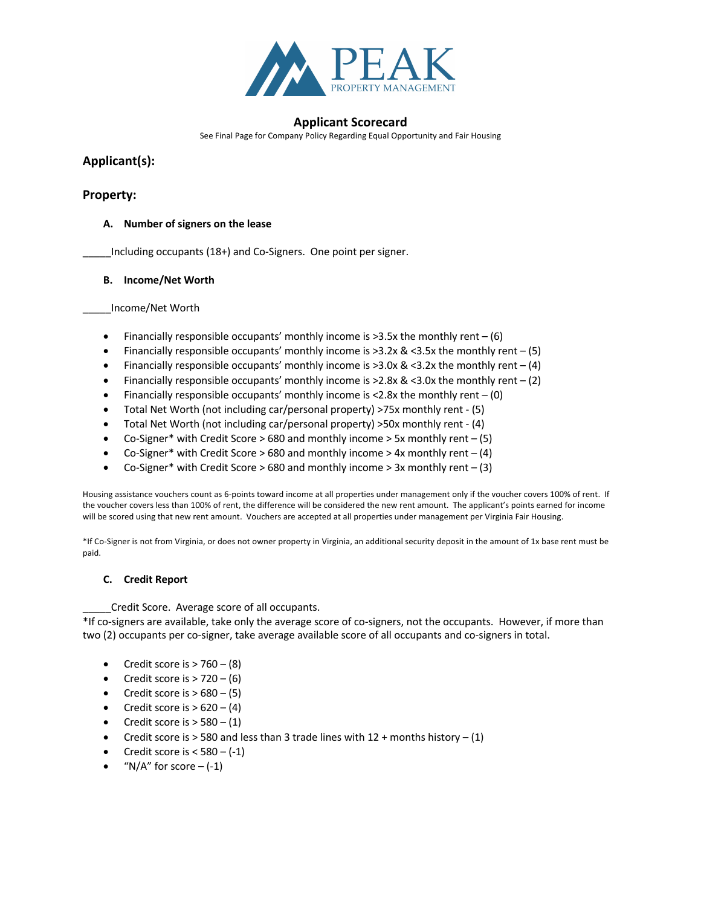

See Final Page for Company Policy Regarding Equal Opportunity and Fair Housing

# **Applicant(s):**

## **Property:**

### **A. Number of signers on the lease**

\_\_\_\_\_Including occupants (18+) and Co-Signers. One point per signer.

#### **B. Income/Net Worth**

\_\_\_\_\_Income/Net Worth

- Financially responsible occupants' monthly income is  $>3.5x$  the monthly rent  $-$  (6)
- Financially responsible occupants' monthly income is  $>3.2x$  &  $<3.5x$  the monthly rent (5)
- Financially responsible occupants' monthly income is >3.0x & <3.2x the monthly rent  $-$  (4)
- Financially responsible occupants' monthly income is  $>2.8x \& \leq 3.0x$  the monthly rent (2)
- Financially responsible occupants' monthly income is <2.8x the monthly rent (0)
- Total Net Worth (not including car/personal property) >75x monthly rent (5)
- Total Net Worth (not including car/personal property) >50x monthly rent (4)
- Co-Signer\* with Credit Score  $> 680$  and monthly income  $> 5x$  monthly rent  $(5)$
- Co-Signer\* with Credit Score > 680 and monthly income > 4x monthly rent  $(4)$
- Co-Signer\* with Credit Score > 680 and monthly income > 3x monthly rent  $-$  (3)

Housing assistance vouchers count as 6-points toward income at all properties under management only if the voucher covers 100% of rent. If the voucher covers less than 100% of rent, the difference will be considered the new rent amount. The applicant's points earned for income will be scored using that new rent amount. Vouchers are accepted at all properties under management per Virginia Fair Housing.

\*If Co-Signer is not from Virginia, or does not owner property in Virginia, an additional security deposit in the amount of 1x base rent must be paid.

#### **C. Credit Report**

Credit Score. Average score of all occupants.

\*If co-signers are available, take only the average score of co-signers, not the occupants. However, if more than two (2) occupants per co-signer, take average available score of all occupants and co-signers in total.

- Credit score is  $> 760 (8)$
- Credit score is  $> 720 (6)$
- Credit score is  $> 680 (5)$
- Credit score is  $> 620 (4)$
- Credit score is  $> 580 (1)$
- Credit score is > 580 and less than 3 trade lines with  $12 +$  months history (1)
- Credit score is  $< 580 (-1)$
- "N/A" for score  $-(-1)$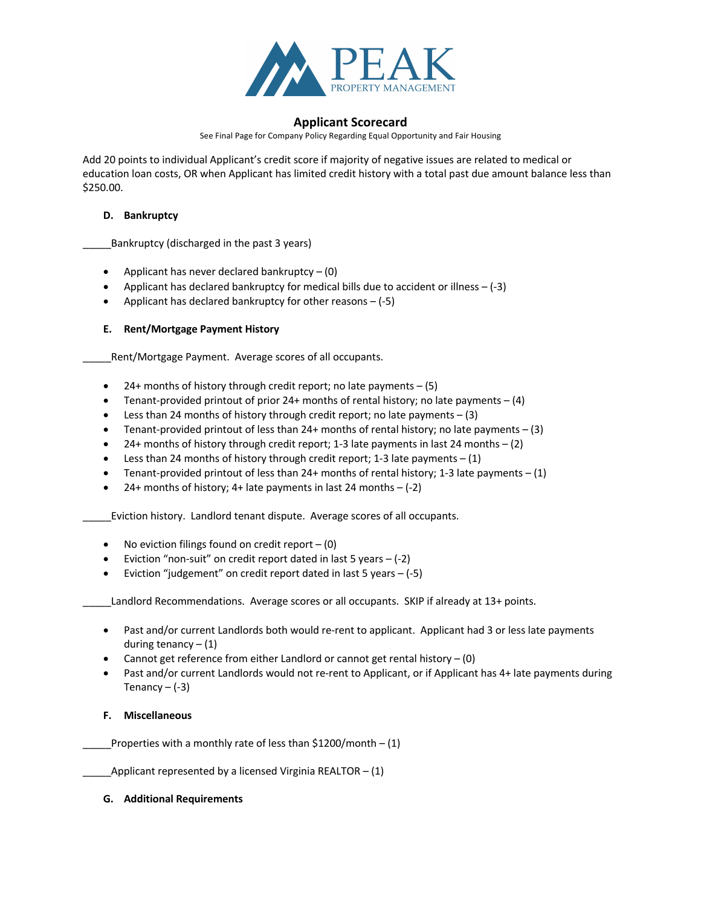

See Final Page for Company Policy Regarding Equal Opportunity and Fair Housing

Add 20 points to individual Applicant's credit score if majority of negative issues are related to medical or education loan costs, OR when Applicant has limited credit history with a total past due amount balance less than \$250.00.

#### **D. Bankruptcy**

\_\_\_\_\_Bankruptcy (discharged in the past 3 years)

- Applicant has never declared bankruptcy  $(0)$
- Applicant has declared bankruptcy for medical bills due to accident or illness (-3)
- Applicant has declared bankruptcy for other reasons (-5)

### **E. Rent/Mortgage Payment History**

\_Rent/Mortgage Payment. Average scores of all occupants.

- $\bullet$  24+ months of history through credit report; no late payments  $-$  (5)
- Tenant-provided printout of prior 24+ months of rental history; no late payments  $-(4)$
- Less than 24 months of history through credit report; no late payments  $(3)$
- Tenant-provided printout of less than  $24+$  months of rental history; no late payments  $-(3)$
- 24+ months of history through credit report; 1-3 late payments in last 24 months  $(2)$
- Less than 24 months of history through credit report; 1-3 late payments  $(1)$
- Tenant-provided printout of less than 24+ months of rental history; 1-3 late payments  $(1)$
- 24+ months of history; 4+ late payments in last 24 months  $-$  (-2)

\_\_\_\_\_Eviction history. Landlord tenant dispute. Average scores of all occupants.

- No eviction filings found on credit report  $(0)$
- Eviction "non-suit" on credit report dated in last 5 years  $-(-2)$
- Eviction "judgement" on credit report dated in last 5 years  $-$  (-5)

Landlord Recommendations. Average scores or all occupants. SKIP if already at 13+ points.

- Past and/or current Landlords both would re-rent to applicant. Applicant had 3 or less late payments during tenancy  $- (1)$
- Cannot get reference from either Landlord or cannot get rental history (0)
- Past and/or current Landlords would not re-rent to Applicant, or if Applicant has 4+ late payments during Tenancy  $-$  (-3)

#### **F. Miscellaneous**

Properties with a monthly rate of less than  $$1200/m$ onth – (1)

Applicant represented by a licensed Virginia REALTOR –  $(1)$ 

#### **G. Additional Requirements**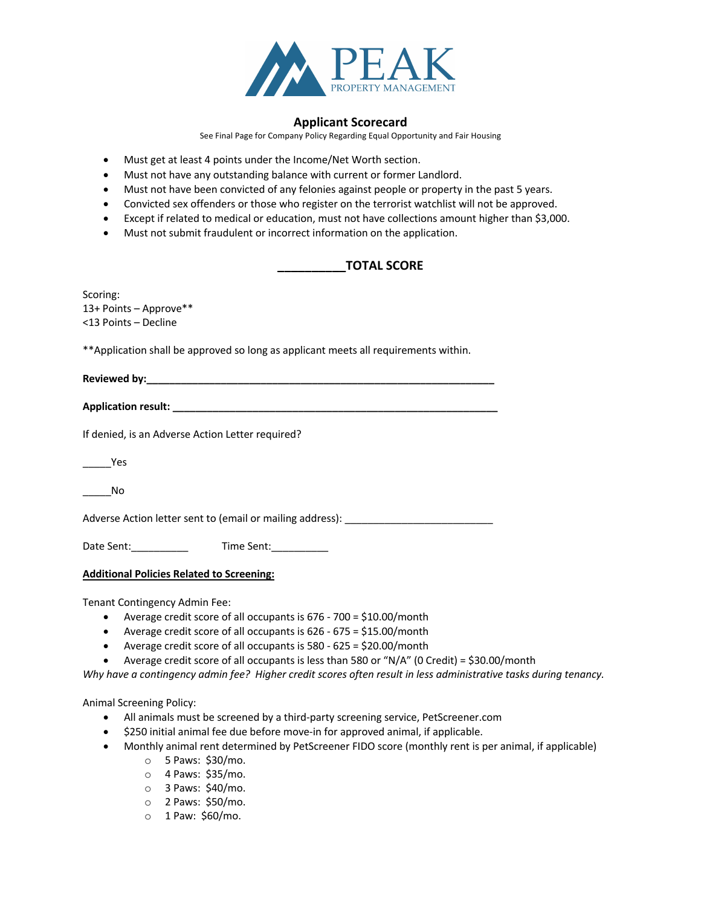

See Final Page for Company Policy Regarding Equal Opportunity and Fair Housing

- Must get at least 4 points under the Income/Net Worth section.
- Must not have any outstanding balance with current or former Landlord.
- Must not have been convicted of any felonies against people or property in the past 5 years.
- Convicted sex offenders or those who register on the terrorist watchlist will not be approved.
- Except if related to medical or education, must not have collections amount higher than \$3,000.
- Must not submit fraudulent or incorrect information on the application.

# **\_\_\_\_\_\_\_\_\_\_TOTAL SCORE**

| Scoring:<br>13+ Points - Approve**                                                   |
|--------------------------------------------------------------------------------------|
| <13 Points – Decline                                                                 |
| ** Application shall be approved so long as applicant meets all requirements within. |
|                                                                                      |
|                                                                                      |
| If denied, is an Adverse Action Letter required?                                     |
| <b>Property Yes</b>                                                                  |
| <b>No</b>                                                                            |
| Adverse Action letter sent to (email or mailing address): ______________________     |
| Date Sent: ______________   Time Sent: ____________                                  |
|                                                                                      |

**Additional Policies Related to Screening:**

Tenant Contingency Admin Fee:

- Average credit score of all occupants is 676 700 = \$10.00/month
- Average credit score of all occupants is 626 675 = \$15.00/month
- Average credit score of all occupants is 580 625 = \$20.00/month
- Average credit score of all occupants is less than 580 or "N/A" (0 Credit) = \$30.00/month

*Why have a contingency admin fee? Higher credit scores often result in less administrative tasks during tenancy.*

Animal Screening Policy:

- All animals must be screened by a third-party screening service, PetScreener.com
- \$250 initial animal fee due before move-in for approved animal, if applicable.
- Monthly animal rent determined by PetScreener FIDO score (monthly rent is per animal, if applicable)
	- o 5 Paws: \$30/mo.
	- o 4 Paws: \$35/mo.
	- o 3 Paws: \$40/mo.
	- o 2 Paws: \$50/mo.
	- o 1 Paw: \$60/mo.